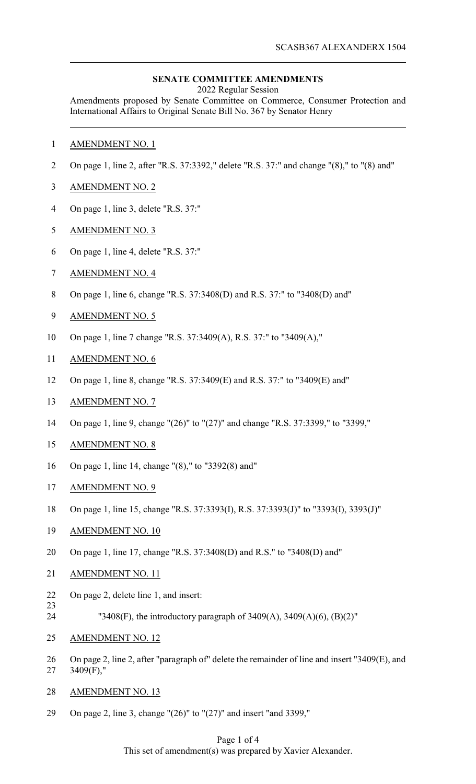### **SENATE COMMITTEE AMENDMENTS**

2022 Regular Session

Amendments proposed by Senate Committee on Commerce, Consumer Protection and International Affairs to Original Senate Bill No. 367 by Senator Henry

- AMENDMENT NO. 1
- On page 1, line 2, after "R.S. 37:3392," delete "R.S. 37:" and change "(8)," to "(8) and"
- AMENDMENT NO. 2
- On page 1, line 3, delete "R.S. 37:"
- AMENDMENT NO. 3
- On page 1, line 4, delete "R.S. 37:"
- AMENDMENT NO. 4
- On page 1, line 6, change "R.S. 37:3408(D) and R.S. 37:" to "3408(D) and"
- AMENDMENT NO. 5
- On page 1, line 7 change "R.S. 37:3409(A), R.S. 37:" to "3409(A),"
- AMENDMENT NO. 6
- On page 1, line 8, change "R.S. 37:3409(E) and R.S. 37:" to "3409(E) and"
- AMENDMENT NO. 7
- On page 1, line 9, change "(26)" to "(27)" and change "R.S. 37:3399," to "3399,"
- AMENDMENT NO. 8
- On page 1, line 14, change "(8)," to "3392(8) and"
- AMENDMENT NO. 9
- On page 1, line 15, change "R.S. 37:3393(I), R.S. 37:3393(J)" to "3393(I), 3393(J)"
- AMENDMENT NO. 10
- On page 1, line 17, change "R.S. 37:3408(D) and R.S." to "3408(D) and"
- AMENDMENT NO. 11
- On page 2, delete line 1, and insert:
- 
- "3408(F), the introductory paragraph of 3409(A), 3409(A)(6), (B)(2)"
- AMENDMENT NO. 12
- On page 2, line 2, after "paragraph of" delete the remainder of line and insert "3409(E), and 3409(F),"
- AMENDMENT NO. 13
- On page 2, line 3, change "(26)" to "(27)" and insert "and 3399,"

#### Page 1 of 4 This set of amendment(s) was prepared by Xavier Alexander.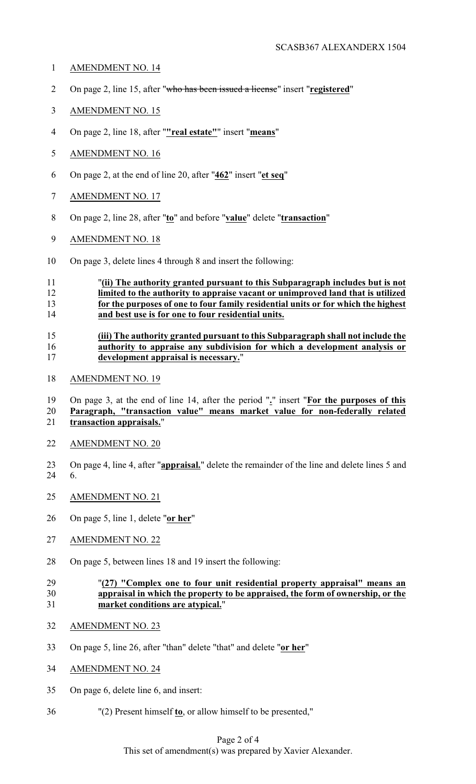- AMENDMENT NO. 14
- On page 2, line 15, after "who has been issued a license" insert "**registered**"
- AMENDMENT NO. 15
- On page 2, line 18, after "**"real estate"**" insert "**means**"
- AMENDMENT NO. 16
- On page 2, at the end of line 20, after "**462**" insert "**et seq**"
- AMENDMENT NO. 17
- On page 2, line 28, after "**to**" and before "**value**" delete "**transaction**"
- AMENDMENT NO. 18
- On page 3, delete lines 4 through 8 and insert the following:

## "**(ii) The authority granted pursuant to this Subparagraph includes but is not limited to the authority to appraise vacant or unimproved land that is utilized for the purposes of one to four family residential units or for which the highest and best use is for one to four residential units.**

### **(iii) The authority granted pursuant to this Subparagraph shall not include the authority to appraise any subdivision for which a development analysis or development appraisal is necessary.**"

AMENDMENT NO. 19

 On page 3, at the end of line 14, after the period "**.**" insert "**For the purposes of this Paragraph, "transaction value" means market value for non-federally related transaction appraisals.**"

- AMENDMENT NO. 20
- On page 4, line 4, after "**appraisal.**" delete the remainder of the line and delete lines 5 and 6.
- AMENDMENT NO. 21
- On page 5, line 1, delete "**or her**"
- AMENDMENT NO. 22
- On page 5, between lines 18 and 19 insert the following:

## "**(27) "Complex one to four unit residential property appraisal" means an appraisal in which the property to be appraised, the form of ownership, or the market conditions are atypical.**"

- AMENDMENT NO. 23
- On page 5, line 26, after "than" delete "that" and delete "**or her**"
- AMENDMENT NO. 24
- On page 6, delete line 6, and insert:
- "(2) Present himself **to**, or allow himself to be presented,"

# Page 2 of 4 This set of amendment(s) was prepared by Xavier Alexander.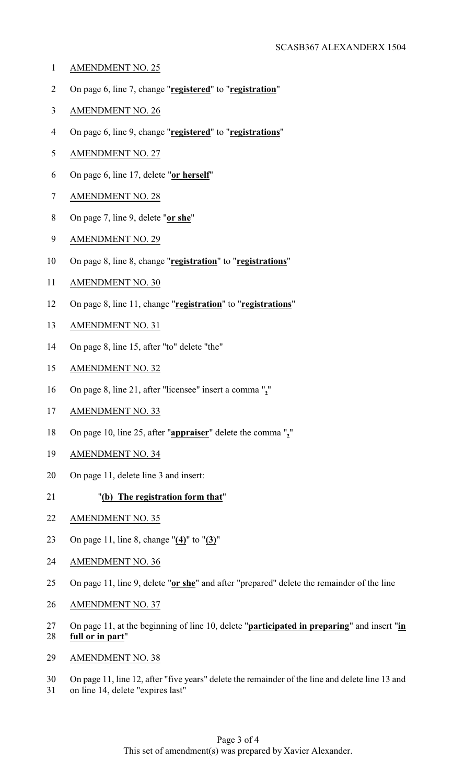- AMENDMENT NO. 25
- On page 6, line 7, change "**registered**" to "**registration**"
- AMENDMENT NO. 26
- On page 6, line 9, change "**registered**" to "**registrations**"
- AMENDMENT NO. 27
- On page 6, line 17, delete "**or herself**"
- AMENDMENT NO. 28
- On page 7, line 9, delete "**or she**"
- AMENDMENT NO. 29
- On page 8, line 8, change "**registration**" to "**registrations**"
- AMENDMENT NO. 30
- On page 8, line 11, change "**registration**" to "**registrations**"
- AMENDMENT NO. 31
- On page 8, line 15, after "to" delete "the"
- AMENDMENT NO. 32
- On page 8, line 21, after "licensee" insert a comma "**,**"
- AMENDMENT NO. 33
- On page 10, line 25, after "**appraiser**" delete the comma "**,**"
- AMENDMENT NO. 34
- On page 11, delete line 3 and insert:
- "**(b) The registration form that**"
- AMENDMENT NO. 35
- On page 11, line 8, change "**(4)**" to "**(3)**"
- AMENDMENT NO. 36
- On page 11, line 9, delete "**or she**" and after "prepared" delete the remainder of the line
- AMENDMENT NO. 37
- On page 11, at the beginning of line 10, delete "**participated in preparing**" and insert "**in full or in part**"
- AMENDMENT NO. 38
- On page 11, line 12, after "five years" delete the remainder of the line and delete line 13 and on line 14, delete "expires last"